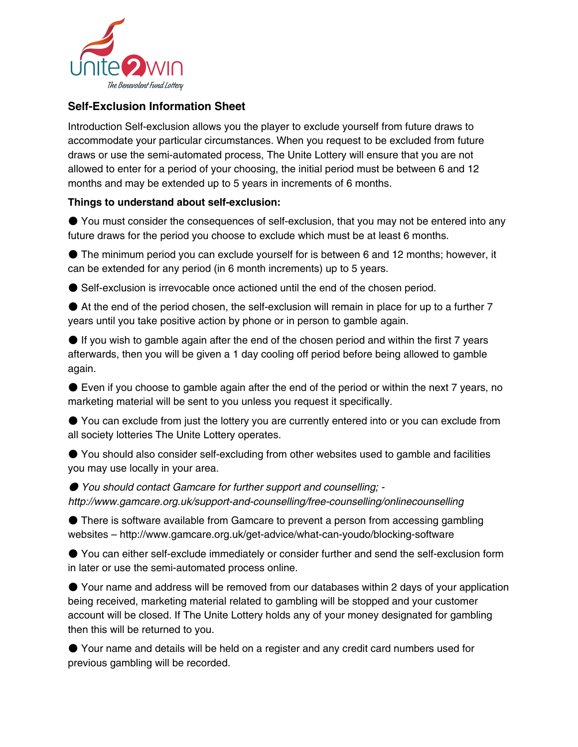

## **Self-Exclusion Information Sheet**

Introduction Self-exclusion allows you the player to exclude yourself from future draws to accommodate your particular circumstances. When you request to be excluded from future draws or use the semi-automated process, The Unite Lottery will ensure that you are not allowed to enter for a period of your choosing, the initial period must be between 6 and 12 months and may be extended up to 5 years in increments of 6 months.

## **Things to understand about self-exclusion:**

● You must consider the consequences of self-exclusion, that you may not be entered into any future draws for the period you choose to exclude which must be at least 6 months.

● The minimum period you can exclude yourself for is between 6 and 12 months; however, it can be extended for any period (in 6 month increments) up to 5 years.

● Self-exclusion is irrevocable once actioned until the end of the chosen period.

● At the end of the period chosen, the self-exclusion will remain in place for up to a further 7 years until you take positive action by phone or in person to gamble again.

● If you wish to gamble again after the end of the chosen period and within the first 7 years afterwards, then you will be given a 1 day cooling off period before being allowed to gamble again.

● Even if you choose to gamble again after the end of the period or within the next 7 years, no marketing material will be sent to you unless you request it specifically.

● You can exclude from just the lottery you are currently entered into or you can exclude from all society lotteries The Unite Lottery operates.

● You should also consider self-excluding from other websites used to gamble and facilities you may use locally in your area.

● You should contact Gamcare for further support and counselling; http://www.gamcare.org.uk/support-and-counselling/free-counselling/onlinecounselling

● There is software available from Gamcare to prevent a person from accessing gambling websites – http://www.gamcare.org.uk/get-advice/what-can-youdo/blocking-software

● You can either self-exclude immediately or consider further and send the self-exclusion form in later or use the semi-automated process online.

● Your name and address will be removed from our databases within 2 days of your application being received, marketing material related to gambling will be stopped and your customer account will be closed. If The Unite Lottery holds any of your money designated for gambling then this will be returned to you.

● Your name and details will be held on a register and any credit card numbers used for previous gambling will be recorded.